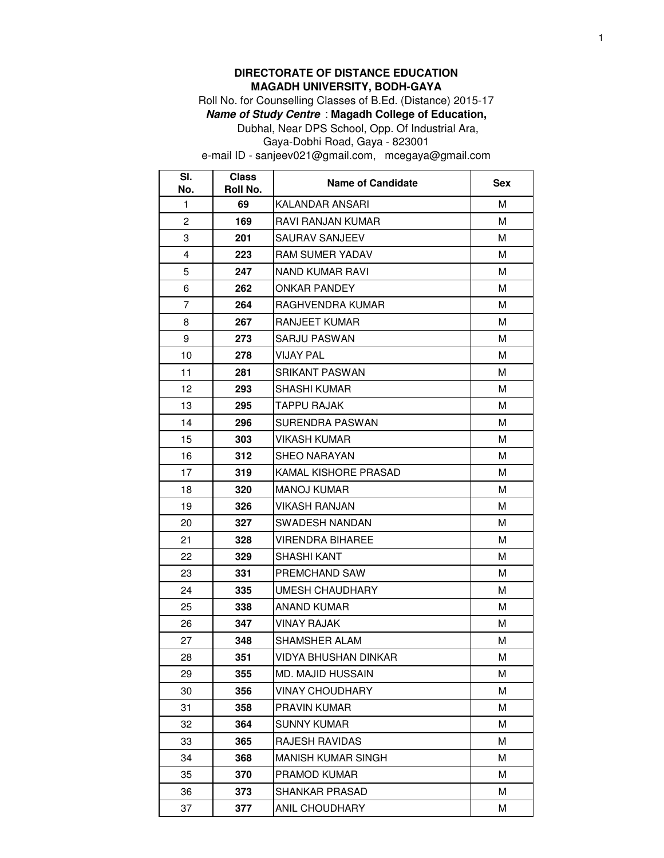## **DIRECTORATE OF DISTANCE EDUCATION MAGADH UNIVERSITY, BODH-GAYA**

Roll No. for Counselling Classes of B.Ed. (Distance) 2015-17

**Name of Study Centre** : **Magadh College of Education,** 

Dubhal, Near DPS School, Opp. Of Industrial Ara, Gaya-Dobhi Road, Gaya - 823001

e-mail ID - sanjeev021@gmail.com, mcegaya@gmail.com

| SI.<br>No.     | <b>Class</b><br>Roll No. | <b>Name of Candidate</b> | Sex |
|----------------|--------------------------|--------------------------|-----|
| 1              | 69                       | KALANDAR ANSARI          | м   |
| $\overline{2}$ | 169                      | RAVI RANJAN KUMAR        | м   |
| 3              | 201                      | SAURAV SANJEEV           | м   |
| 4              | 223                      | <b>RAM SUMER YADAV</b>   | м   |
| 5              | 247                      | NAND KUMAR RAVI          | м   |
| 6              | 262                      | <b>ONKAR PANDEY</b>      | м   |
| $\overline{7}$ | 264                      | RAGHVENDRA KUMAR         | м   |
| 8              | 267                      | RANJEET KUMAR            | м   |
| 9              | 273                      | SARJU PASWAN             | м   |
| 10             | 278                      | <b>VIJAY PAL</b>         | м   |
| 11             | 281                      | SRIKANT PASWAN           | М   |
| 12             | 293                      | SHASHI KUMAR             | м   |
| 13             | 295                      | <b>TAPPU RAJAK</b>       | M   |
| 14             | 296                      | SURENDRA PASWAN          | м   |
| 15             | 303                      | VIKASH KUMAR             | м   |
| 16             | 312                      | <b>SHEO NARAYAN</b>      | м   |
| 17             | 319                      | KAMAL KISHORE PRASAD     | м   |
| 18             | 320                      | <b>MANOJ KUMAR</b>       | M   |
| 19             | 326                      | VIKASH RANJAN            | м   |
| 20             | 327                      | SWADESH NANDAN           | м   |
| 21             | 328                      | VIRENDRA BIHAREE         | м   |
| 22             | 329                      | SHASHI KANT              | м   |
| 23             | 331                      | PREMCHAND SAW            | м   |
| 24             | 335                      | UMESH CHAUDHARY          | м   |
| 25             | 338                      | ANAND KUMAR              | м   |
| 26             | 347                      | <b>VINAY RAJAK</b>       | м   |
| 27             | 348                      | SHAMSHER ALAM            | М   |
| 28             | 351                      | VIDYA BHUSHAN DINKAR     | М   |
| 29             | 355                      | <b>MD. MAJID HUSSAIN</b> | м   |
| 30             | 356                      | <b>VINAY CHOUDHARY</b>   | M   |
| 31             | 358                      | PRAVIN KUMAR             | M   |
| 32             | 364                      | SUNNY KUMAR              | M   |
| 33             | 365                      | RAJESH RAVIDAS           | м   |
| 34             | 368                      | MANISH KUMAR SINGH       | м   |
| 35             | 370                      | PRAMOD KUMAR             | м   |
| 36             | 373                      | SHANKAR PRASAD           | M   |
| 37             | 377                      | ANIL CHOUDHARY           | М   |